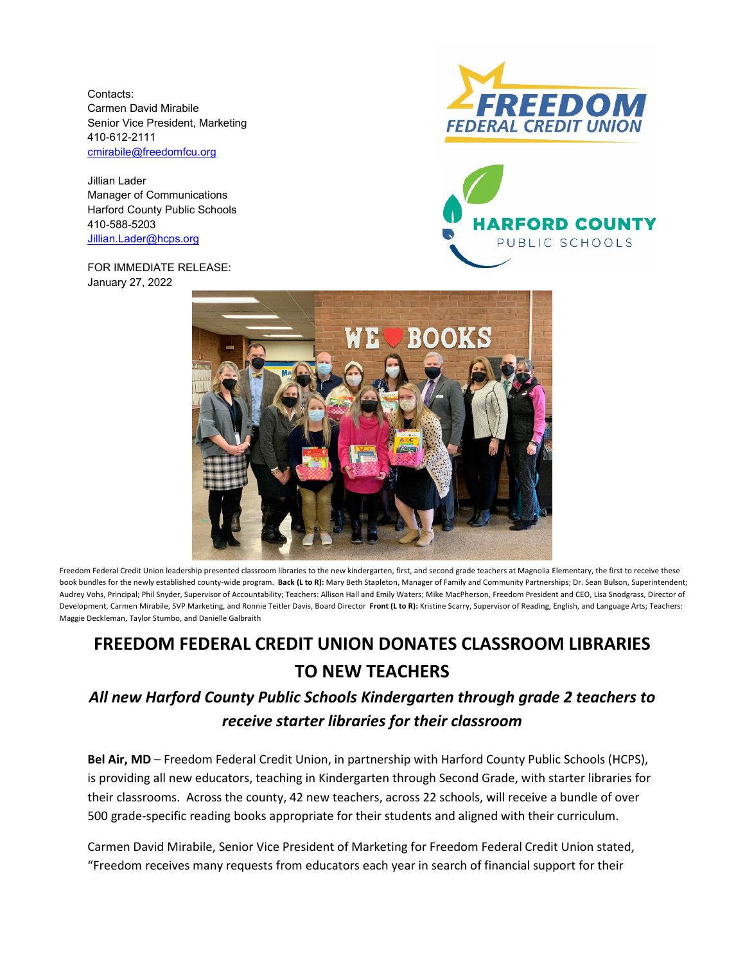Contacts: Carmen David Mirabile Senior Vice President, Marketing 410-612-2111 [cmirabile@freedomfcu.org](mailto:cmirabile@freedomfcu.org)

Jillian Lader Manager of Communications Harford County Public Schools 410-588-5203 [Jillian.Lader@hcps.org](mailto:Jillian.Lader@hcps.org)

FOR IMMEDIATE RELEASE: January 27, 2022







Freedom Federal Credit Union leadership presented classroom libraries to the new kindergarten, first, and second grade teachers at Magnolia Elementary, the first to receive these book bundles for the newly established county-wide program. **Back (L to R):** Mary Beth Stapleton, Manager of Family and Community Partnerships; Dr. Sean Bulson, Superintendent; Audrey Vohs, Principal; Phil Snyder, Supervisor of Accountability; Teachers: Allison Hall and Emily Waters; Mike MacPherson, Freedom President and CEO, Lisa Snodgrass, Director of Development, Carmen Mirabile, SVP Marketing, and Ronnie Teitler Davis, Board Director **Front (L to R):** Kristine Scarry, Supervisor of Reading, English, and Language Arts; Teachers: Maggie Deckleman, Taylor Stumbo, and Danielle Galbraith

## **FREEDOM FEDERAL CREDIT UNION DONATES CLASSROOM LIBRARIES TO NEW TEACHERS**

## *All new Harford County Public Schools Kindergarten through grade 2 teachers to receive starter libraries for their classroom*

**Bel Air, MD** – Freedom Federal Credit Union, in partnership with Harford County Public Schools (HCPS), is providing all new educators, teaching in Kindergarten through Second Grade, with starter libraries for their classrooms. Across the county, 42 new teachers, across 22 schools, will receive a bundle of over 500 grade-specific reading books appropriate for their students and aligned with their curriculum.

Carmen David Mirabile, Senior Vice President of Marketing for Freedom Federal Credit Union stated, "Freedom receives many requests from educators each year in search of financial support for their